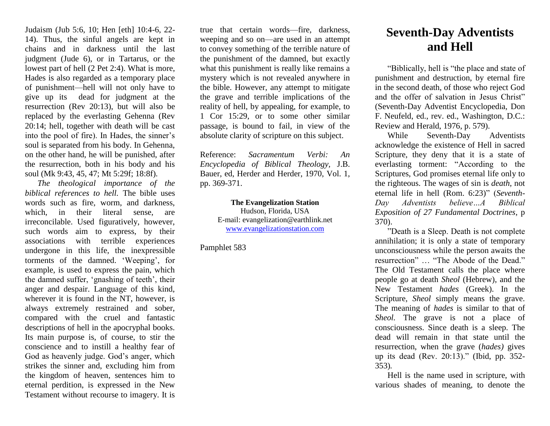Judaism (Jub 5:6, 10; Hen [eth] 10:4-6, 22- 14). Thus, the sinful angels are kept in chains and in darkness until the last judgment (Jude 6), or in Tartarus, or the lowest part of hell (2 Pet 2:4). What is more, Hades is also regarded as a temporary place of punishment—hell will not only have to give up its dead for judgment at the resurrection (Rev 20:13), but will also be replaced by the everlasting Gehenna (Rev 20:14; hell, together with death will be cast into the pool of fire). In Hades, the sinner's soul is separated from his body. In Gehenna, on the other hand, he will be punished, after the resurrection, both in his body and his soul (Mk 9:43, 45, 47; Mt 5:29f; 18:8f).

*The theological importance of the biblical references to hell.* The bible uses words such as fire, worm, and darkness, which, in their literal sense, are irreconcilable. Used figuratively, however, such words aim to express, by their associations with terrible experiences undergone in this life, the inexpressible torments of the damned. 'Weeping', for example, is used to express the pain, which the damned suffer, 'gnashing of teeth', their anger and despair. Language of this kind, wherever it is found in the NT, however, is always extremely restrained and sober, compared with the cruel and fantastic descriptions of hell in the apocryphal books. Its main purpose is, of course, to stir the conscience and to instill a healthy fear of God as heavenly judge. God's anger, which strikes the sinner and, excluding him from the kingdom of heaven, sentences him to eternal perdition, is expressed in the New Testament without recourse to imagery. It is

true that certain words—fire, darkness, weeping and so on—are used in an attempt to convey something of the terrible nature of the punishment of the damned, but exactly what this punishment is really like remains a mystery which is not revealed anywhere in the bible. However, any attempt to mitigate the grave and terrible implications of the reality of hell, by appealing, for example, to 1 Cor 15:29, or to some other similar passage, is bound to fail, in view of the absolute clarity of scripture on this subject.

Reference: *Sacramentum Verbi: An Encyclopedia of Biblical Theology,* J.B. Bauer, ed, Herder and Herder, 1970, Vol. 1, pp. 369-371.

> **The Evangelization Station** Hudson, Florida, USA E-mail: evangelization@earthlink.net [www.evangelizationstation.com](http://www.pjpiisoe.org/)

Pamphlet 583

## **Seventh-Day Adventists and Hell**

"Biblically, hell is "the place and state of punishment and destruction, by eternal fire in the second death, of those who reject God and the offer of salvation in Jesus Christ" (Seventh-Day Adventist Encyclopedia, Don F. Neufeld, ed., rev. ed., Washington, D.C.: Review and Herald, 1976, p. 579).

While Seventh-Day Adventists acknowledge the existence of Hell in sacred Scripture, they deny that it is a state of everlasting torment: "According to the Scriptures, God promises eternal life only to the righteous. The wages of sin is *death*, not eternal life in hell (Rom. 6:23)" (*Seventh-Day Adventists believe…A Biblical Exposition of 27 Fundamental Doctrines*, p 370).

"Death is a Sleep. Death is not complete annihilation; it is only a state of temporary unconsciousness while the person awaits the resurrection" … "The Abode of the Dead." The Old Testament calls the place where people go at death *Sheol* (Hebrew), and the New Testament *hades* (Greek). In the Scripture, *Sheol* simply means the grave. The meaning of *hades* is similar to that of *Sheol.* The grave is not a place of consciousness. Since death is a sleep. The dead will remain in that state until the resurrection, when the grave (*hades)* gives up its dead (Rev. 20:13)." (Ibid, pp. 352- 353)*.*

Hell is the name used in scripture, with various shades of meaning, to denote the